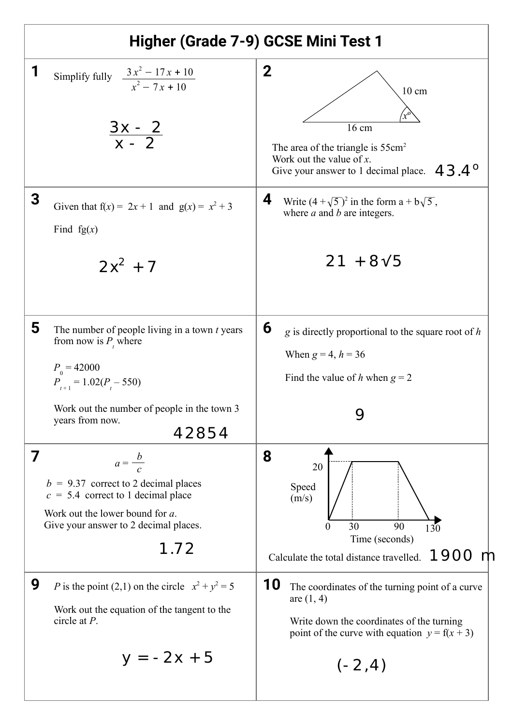| Higher (Grade 7-9) GCSE Mini Test 1                                                                                                                                                                              |                                                                                                                                                                                     |
|------------------------------------------------------------------------------------------------------------------------------------------------------------------------------------------------------------------|-------------------------------------------------------------------------------------------------------------------------------------------------------------------------------------|
| 1<br>Simplify fully $\frac{3x^2 - 17x + 10}{x^2 - 7x + 10}$<br>$\frac{3x-2}{x-2}$                                                                                                                                | $\boldsymbol{2}$<br>$10 \text{ cm}$<br>16 cm<br>The area of the triangle is $55 \text{cm}^2$<br>Work out the value of $x$ .<br>$43.4^\circ$<br>Give your answer to 1 decimal place. |
| 3<br>Given that $f(x) = 2x + 1$ and $g(x) = x^2 + 3$<br>Find $fg(x)$<br>$2x^2 + 7$                                                                                                                               | 4<br>Write $(4 + \sqrt{5})^2$ in the form $a + b\sqrt{5}$ ,<br>where $a$ and $b$ are integers.<br>$21 + 8\sqrt{5}$                                                                  |
| 5<br>The number of people living in a town $t$ years<br>from now is $P_{t}$ where<br>$P_{0} = 42000$<br>$P_{t+1} = 1.02(P_{t} - 550)$<br>Work out the number of people in the town 3<br>years from now.<br>42854 | 6<br>$g$ is directly proportional to the square root of $h$<br>When $g = 4, h = 36$<br>Find the value of h when $g = 2$                                                             |
| 7<br>$a=\frac{b}{c}$<br>$b = 9.37$ correct to 2 decimal places<br>$c = 5.4$ correct to 1 decimal place<br>Work out the lower bound for a.<br>Give your answer to 2 decimal places.<br>1.72                       | 8<br>20<br>Speed<br>(m/s)<br>30<br>90<br>$\theta$<br>130<br>Time (seconds)<br>1900<br>Calculate the total distance travelled.                                                       |
| 9<br>P is the point (2,1) on the circle $x^2 + y^2 = 5$<br>Work out the equation of the tangent to the<br>circle at $P$ .<br>$y = -2x + 5$                                                                       | 10<br>The coordinates of the turning point of a curve<br>are $(1, 4)$<br>Write down the coordinates of the turning<br>point of the curve with equation $y = f(x + 3)$<br>$(-2, 4)$  |